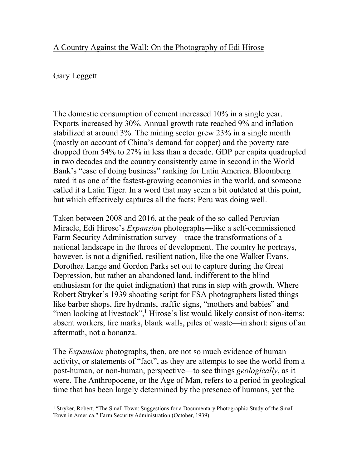## A Country Against the Wall: On the Photography of Edi Hirose

## Gary Leggett

The domestic consumption of cement increased 10% in a single year. Exports increased by 30%. Annual growth rate reached 9% and inflation stabilized at around 3%. The mining sector grew 23% in a single month (mostly on account of China's demand for copper) and the poverty rate dropped from 54% to 27% in less than a decade. GDP per capita quadrupled in two decades and the country consistently came in second in the World Bank's "ease of doing business" ranking for Latin America. Bloomberg rated it as one of the fastest-growing economies in the world, and someone called it a Latin Tiger. In a word that may seem a bit outdated at this point, but which effectively captures all the facts: Peru was doing well.

Taken between 2008 and 2016, at the peak of the so-called Peruvian Miracle, Edi Hirose's *Expansion* photographs—like a self-commissioned Farm Security Administration survey—trace the transformations of a national landscape in the throes of development. The country he portrays, however, is not a dignified, resilient nation, like the one Walker Evans, Dorothea Lange and Gordon Parks set out to capture during the Great Depression, but rather an abandoned land, indifferent to the blind enthusiasm (or the quiet indignation) that runs in step with growth. Where Robert Stryker's 1939 shooting script for FSA photographers listed things like barber shops, fire hydrants, traffic signs, "mothers and babies" and "men looking at livestock", $\frac{1}{1}$  Hirose's list would likely consist of non-items: absent workers, tire marks, blank walls, piles of waste—in short: signs of an aftermath, not a bonanza.

The *Expansion* photographs, then, are not so much evidence of human activity, or statements of "fact", as they are attempts to see the world from a post-human, or non-human, perspective—to see things *geologically*, as it were. The Anthropocene, or the Age of Man, refers to a period in geological time that has been largely determined by the presence of humans, yet the

 $\overline{a}$ <sup>1</sup> Stryker, Robert. "The Small Town: Suggestions for a Documentary Photographic Study of the Small Town in America." Farm Security Administration (October, 1939).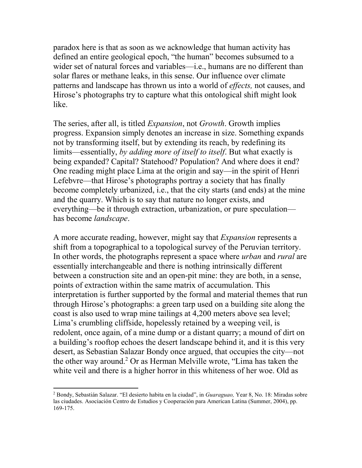paradox here is that as soon as we acknowledge that human activity has defined an entire geological epoch, "the human" becomes subsumed to a wider set of natural forces and variables—i.e., humans are no different than solar flares or methane leaks, in this sense. Our influence over climate patterns and landscape has thrown us into a world of *effects,* not causes, and Hirose's photographs try to capture what this ontological shift might look like.

The series, after all, is titled *Expansion*, not *Growth*. Growth implies progress. Expansion simply denotes an increase in size. Something expands not by transforming itself, but by extending its reach, by redefining its limits—essentially, *by adding more of itself to itself*. But what exactly is being expanded? Capital? Statehood? Population? And where does it end? One reading might place Lima at the origin and say—in the spirit of Henri Lefebvre—that Hirose's photographs portray a society that has finally become completely urbanized, i.e., that the city starts (and ends) at the mine and the quarry. Which is to say that nature no longer exists, and everything—be it through extraction, urbanization, or pure speculation has become *landscape*.

A more accurate reading, however, might say that *Expansion* represents a shift from a topographical to a topological survey of the Peruvian territory. In other words, the photographs represent a space where *urban* and *rural* are essentially interchangeable and there is nothing intrinsically different between a construction site and an open-pit mine: they are both, in a sense, points of extraction within the same matrix of accumulation. This interpretation is further supported by the formal and material themes that run through Hirose's photographs: a green tarp used on a building site along the coast is also used to wrap mine tailings at 4,200 meters above sea level; Lima's crumbling cliffside, hopelessly retained by a weeping veil, is redolent, once again, of a mine dump or a distant quarry; a mound of dirt on a building's rooftop echoes the desert landscape behind it, and it is this very desert, as Sebastian Salazar Bondy once argued, that occupies the city—not the other way around.<sup>2</sup> Or as Herman Melville wrote, "Lima has taken the white veil and there is a higher horror in this whiteness of her woe. Old as

 $\overline{a}$ 

<sup>2</sup> Bondy, Sebastián Salazar. "El desierto habita en la ciudad", in *Guaraguao,* Year 8, No. 18: Miradas sobre las ciudades. Asociación Centro de Estudios y Cooperación para American Latina (Summer, 2004), pp. 169-175.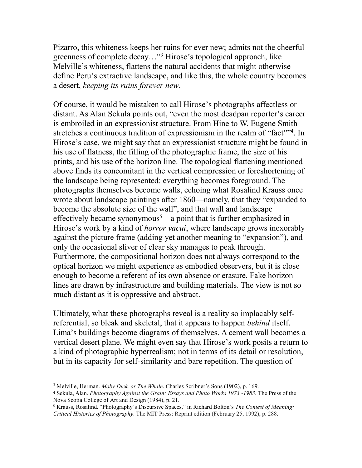Pizarro, this whiteness keeps her ruins for ever new; admits not the cheerful greenness of complete decay…"<sup>3</sup> Hirose's topological approach, like Melville's whiteness, flattens the natural accidents that might otherwise define Peru's extractive landscape, and like this, the whole country becomes a desert, *keeping its ruins forever new*.

Of course, it would be mistaken to call Hirose's photographs affectless or distant. As Alan Sekula points out, "even the most deadpan reporter's career is embroiled in an expressionist structure. From Hine to W. Eugene Smith stretches a continuous tradition of expressionism in the realm of "fact"<sup>34</sup>. In Hirose's case, we might say that an expressionist structure might be found in his use of flatness, the filling of the photographic frame, the size of his prints, and his use of the horizon line. The topological flattening mentioned above finds its concomitant in the vertical compression or foreshortening of the landscape being represented: everything becomes foreground. The photographs themselves become walls, echoing what Rosalind Krauss once wrote about landscape paintings after 1860—namely, that they "expanded to become the absolute size of the wall", and that wall and landscape effectively became synonymous<sup>5</sup>—a point that is further emphasized in Hirose's work by a kind of *horror vacui*, where landscape grows inexorably against the picture frame (adding yet another meaning to "expansion"), and only the occasional sliver of clear sky manages to peak through. Furthermore, the compositional horizon does not always correspond to the optical horizon we might experience as embodied observers, but it is close enough to become a referent of its own absence or erasure. Fake horizon lines are drawn by infrastructure and building materials. The view is not so much distant as it is oppressive and abstract.

Ultimately, what these photographs reveal is a reality so implacably selfreferential, so bleak and skeletal, that it appears to happen *behind* itself. Lima's buildings become diagrams of themselves. A cement wall becomes a vertical desert plane. We might even say that Hirose's work posits a return to a kind of photographic hyperrealism; not in terms of its detail or resolution, but in its capacity for self-similarity and bare repetition. The question of

 $\overline{a}$ <sup>3</sup> Melville, Herman. *Moby Dick, or The Whale*. Charles Scribner's Sons (1902), p. 169.

<sup>4</sup> Sekula, Alan. *Photography Against the Grain: Essays and Photo Works 1973 -1983*. The Press of the Nova Scotia College of Art and Design (1984), p. 21.

<sup>5</sup> Krauss, Rosalind. "Photography's Discursive Spaces," in Richard Bolton's *The Contest of Meaning: Critical Histories of Photography*. The MIT Press: Reprint edition (February 25, 1992), p. 288.